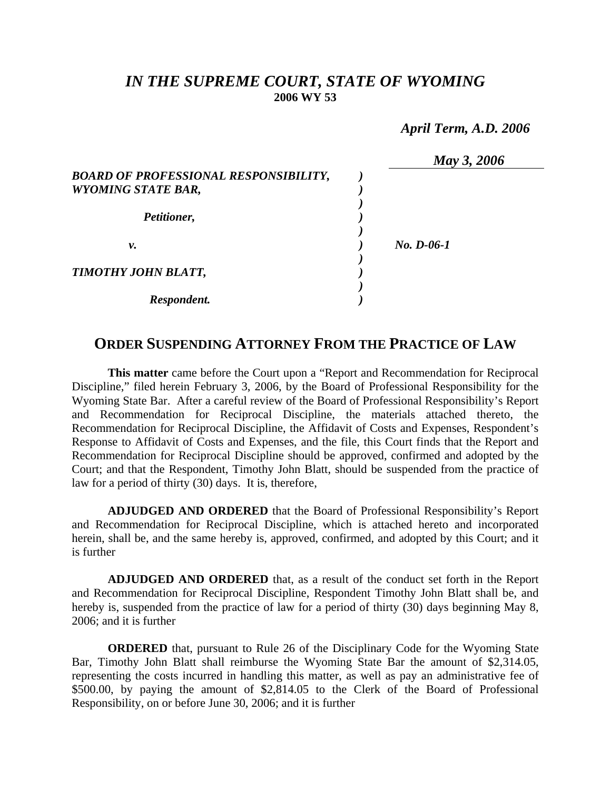## *IN THE SUPREME COURT, STATE OF WYOMING*  **2006 WY 53**

 *April Term, A.D. 2006* 

|                                              | May 3, 2006  |
|----------------------------------------------|--------------|
| <b>BOARD OF PROFESSIONAL RESPONSIBILITY,</b> |              |
| <b>WYOMING STATE BAR,</b>                    |              |
|                                              |              |
| Petitioner,                                  |              |
|                                              |              |
| ν.                                           | $No. D-06-1$ |
| TIMOTHY JOHN BLATT,                          |              |
|                                              |              |
| Respondent.                                  |              |

## **ORDER SUSPENDING ATTORNEY FROM THE PRACTICE OF LAW**

**This matter** came before the Court upon a "Report and Recommendation for Reciprocal Discipline," filed herein February 3, 2006, by the Board of Professional Responsibility for the Wyoming State Bar. After a careful review of the Board of Professional Responsibility's Report and Recommendation for Reciprocal Discipline, the materials attached thereto, the Recommendation for Reciprocal Discipline, the Affidavit of Costs and Expenses, Respondent's Response to Affidavit of Costs and Expenses, and the file, this Court finds that the Report and Recommendation for Reciprocal Discipline should be approved, confirmed and adopted by the Court; and that the Respondent, Timothy John Blatt, should be suspended from the practice of law for a period of thirty (30) days. It is, therefore,

**ADJUDGED AND ORDERED** that the Board of Professional Responsibility's Report and Recommendation for Reciprocal Discipline, which is attached hereto and incorporated herein, shall be, and the same hereby is, approved, confirmed, and adopted by this Court; and it is further

**ADJUDGED AND ORDERED** that, as a result of the conduct set forth in the Report and Recommendation for Reciprocal Discipline, Respondent Timothy John Blatt shall be, and hereby is, suspended from the practice of law for a period of thirty (30) days beginning May 8, 2006; and it is further

**ORDERED** that, pursuant to Rule 26 of the Disciplinary Code for the Wyoming State Bar, Timothy John Blatt shall reimburse the Wyoming State Bar the amount of \$2,314.05, representing the costs incurred in handling this matter, as well as pay an administrative fee of \$500.00, by paying the amount of \$2,814.05 to the Clerk of the Board of Professional Responsibility, on or before June 30, 2006; and it is further